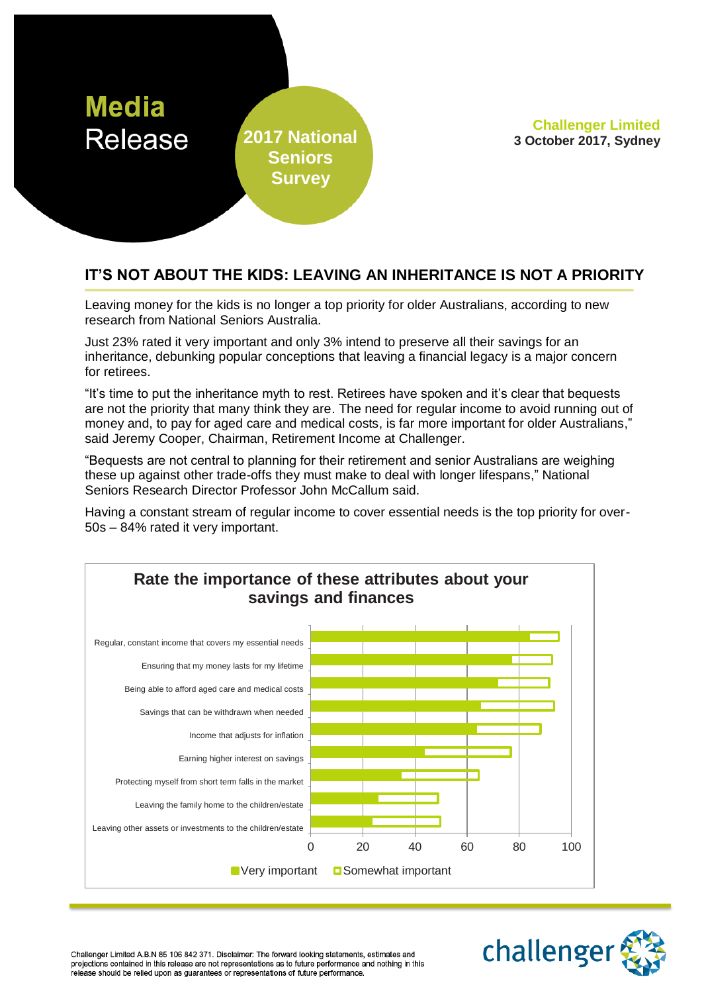

**Seniors Survey**

**Challenger Limited 2017 National 3 October 2017, Sydney**

## **IT'S NOT ABOUT THE KIDS: LEAVING AN INHERITANCE IS NOT A PRIORITY**

Leaving money for the kids is no longer a top priority for older Australians, according to new research from National Seniors Australia.

Just 23% rated it very important and only 3% intend to preserve all their savings for an inheritance, debunking popular conceptions that leaving a financial legacy is a major concern for retirees.

"It's time to put the inheritance myth to rest. Retirees have spoken and it's clear that bequests are not the priority that many think they are. The need for regular income to avoid running out of money and, to pay for aged care and medical costs, is far more important for older Australians," said Jeremy Cooper, Chairman, Retirement Income at Challenger.

"Bequests are not central to planning for their retirement and senior Australians are weighing these up against other trade-offs they must make to deal with longer lifespans," National Seniors Research Director Professor John McCallum said.

Having a constant stream of regular income to cover essential needs is the top priority for over-50s – 84% rated it very important.





Challenger Limited A.B.N 85 106 842 371. Disclaimer: The forward looking statements, estimates and projections contained in this release are not representations as to future performance and nothing in this release should be relied upon as guarantees or representations of future performance.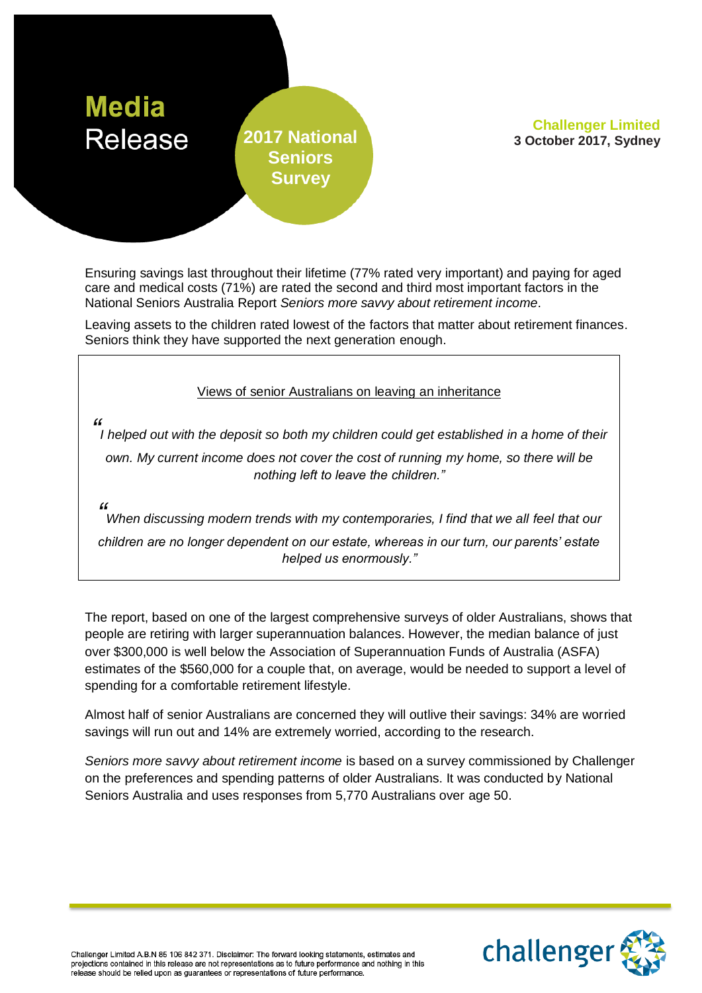

# **Seniors Survey**

**Challenger Limited 2017 National 3 October 2017, Sydney**

Ensuring savings last throughout their lifetime (77% rated very important) and paying for aged care and medical costs (71%) are rated the second and third most important factors in the National Seniors Australia Report *Seniors more savvy about retirement income*.

Leaving assets to the children rated lowest of the factors that matter about retirement finances. Seniors think they have supported the next generation enough.

Views of senior Australians on leaving an inheritance

*" I helped out with the deposit so both my children could get established in a home of their own. My current income does not cover the cost of running my home, so there will be nothing left to leave the children."*

*"*

*When discussing modern trends with my contemporaries, I find that we all feel that our children are no longer dependent on our estate, whereas in our turn, our parents' estate helped us enormously."*

The report, based on one of the largest comprehensive surveys of older Australians, shows that people are retiring with larger superannuation balances. However, the median balance of just over \$300,000 is well below the Association of Superannuation Funds of Australia (ASFA) estimates of the \$560,000 for a couple that, on average, would be needed to support a level of spending for a comfortable retirement lifestyle.

Almost half of senior Australians are concerned they will outlive their savings: 34% are worried savings will run out and 14% are extremely worried, according to the research.

*Seniors more savvy about retirement income* is based on a survey commissioned by Challenger on the preferences and spending patterns of older Australians. It was conducted by National Seniors Australia and uses responses from 5,770 Australians over age 50.